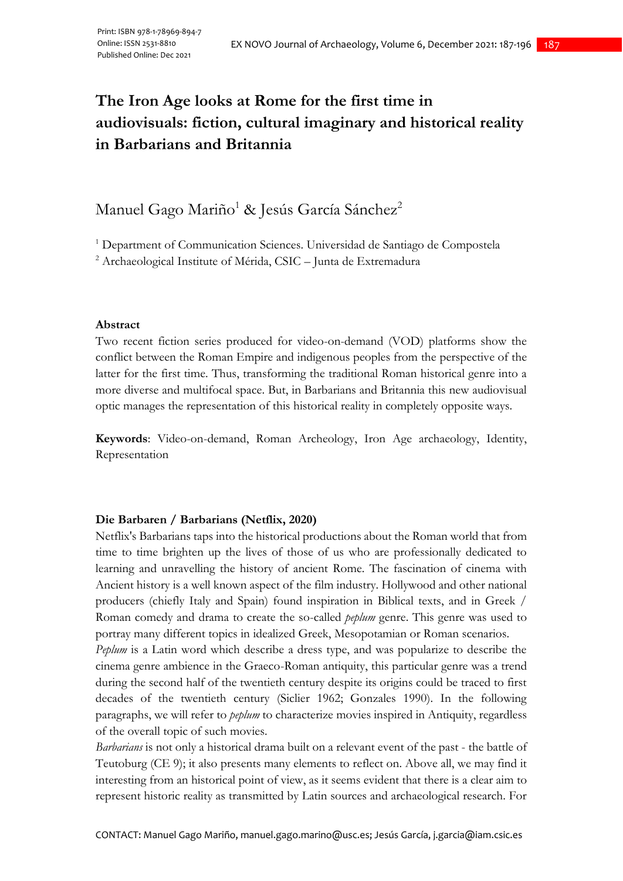# **The Iron Age looks at Rome for the first time in audiovisuals: fiction, cultural imaginary and historical reality in Barbarians and Britannia**

## Manuel Gago Mariño<sup>1</sup> & Jesús García Sánchez<sup>2</sup>

<sup>1</sup> Department of Communication Sciences. Universidad de Santiago de Compostela

<sup>2</sup> Archaeological Institute of Mérida, CSIC – Junta de Extremadura

## **Abstract**

Two recent fiction series produced for video-on-demand (VOD) platforms show the conflict between the Roman Empire and indigenous peoples from the perspective of the latter for the first time. Thus, transforming the traditional Roman historical genre into a more diverse and multifocal space. But, in Barbarians and Britannia this new audiovisual optic manages the representation of this historical reality in completely opposite ways.

**Keywords**: Video-on-demand, Roman Archeology, Iron Age archaeology, Identity, Representation

## **Die Barbaren / Barbarians (Netflix, 2020)**

Netflix's Barbarians taps into the historical productions about the Roman world that from time to time brighten up the lives of those of us who are professionally dedicated to learning and unravelling the history of ancient Rome. The fascination of cinema with Ancient history is a well known aspect of the film industry. Hollywood and other national producers (chiefly Italy and Spain) found inspiration in Biblical texts, and in Greek / Roman comedy and drama to create the so-called *peplum* genre. This genre was used to portray many different topics in idealized Greek, Mesopotamian or Roman scenarios.

*Peplum* is a Latin word which describe a dress type, and was popularize to describe the cinema genre ambience in the Graeco-Roman antiquity, this particular genre was a trend during the second half of the twentieth century despite its origins could be traced to first decades of the twentieth century (Siclier 1962; Gonzales 1990). In the following paragraphs, we will refer to *peplum* to characterize movies inspired in Antiquity, regardless of the overall topic of such movies.

*Barbarians* is not only a historical drama built on a relevant event of the past - the battle of Teutoburg (CE 9); it also presents many elements to reflect on. Above all, we may find it interesting from an historical point of view, as it seems evident that there is a clear aim to represent historic reality as transmitted by Latin sources and archaeological research. For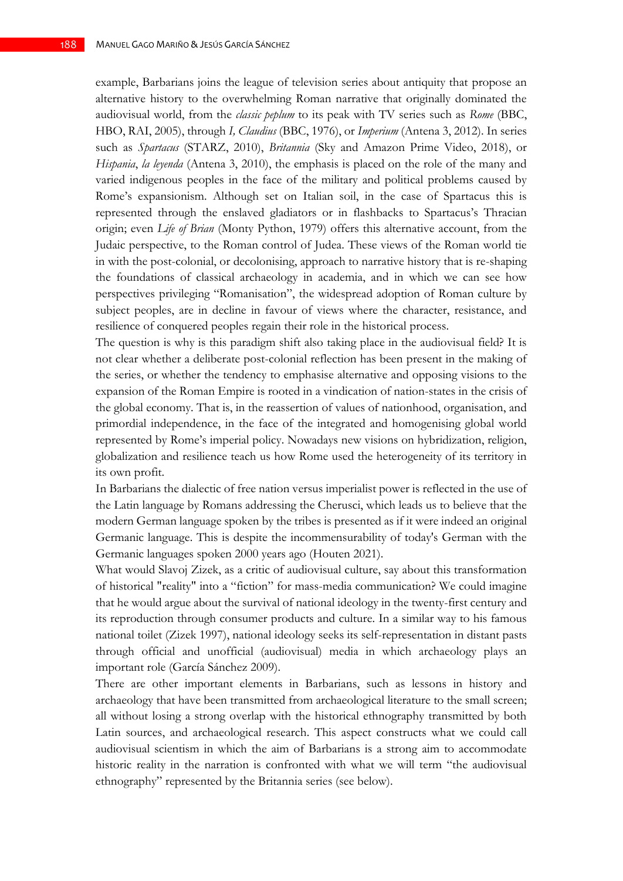example, Barbarians joins the league of television series about antiquity that propose an alternative history to the overwhelming Roman narrative that originally dominated the audiovisual world, from the *classic peplum* to its peak with TV series such as *Rome* (BBC, HBO, RAI, 2005), through *I, Claudius* (BBC, 1976), or *Imperium* (Antena 3, 2012). In series such as *Spartacus* (STARZ, 2010), *Britannia* (Sky and Amazon Prime Video, 2018), or *Hispania*, *la leyenda* (Antena 3, 2010), the emphasis is placed on the role of the many and varied indigenous peoples in the face of the military and political problems caused by Rome's expansionism. Although set on Italian soil, in the case of Spartacus this is represented through the enslaved gladiators or in flashbacks to Spartacus's Thracian origin; even *Life of Brian* (Monty Python, 1979) offers this alternative account, from the Judaic perspective, to the Roman control of Judea. These views of the Roman world tie in with the post-colonial, or decolonising, approach to narrative history that is re-shaping the foundations of classical archaeology in academia, and in which we can see how perspectives privileging "Romanisation", the widespread adoption of Roman culture by subject peoples, are in decline in favour of views where the character, resistance, and resilience of conquered peoples regain their role in the historical process.

The question is why is this paradigm shift also taking place in the audiovisual field? It is not clear whether a deliberate post-colonial reflection has been present in the making of the series, or whether the tendency to emphasise alternative and opposing visions to the expansion of the Roman Empire is rooted in a vindication of nation-states in the crisis of the global economy. That is, in the reassertion of values of nationhood, organisation, and primordial independence, in the face of the integrated and homogenising global world represented by Rome's imperial policy. Nowadays new visions on hybridization, religion, globalization and resilience teach us how Rome used the heterogeneity of its territory in its own profit.

In Barbarians the dialectic of free nation versus imperialist power is reflected in the use of the Latin language by Romans addressing the Cherusci, which leads us to believe that the modern German language spoken by the tribes is presented as if it were indeed an original Germanic language. This is despite the incommensurability of today's German with the Germanic languages spoken 2000 years ago (Houten 2021).

What would Slavoj Zizek, as a critic of audiovisual culture, say about this transformation of historical "reality" into a "fiction" for mass-media communication? We could imagine that he would argue about the survival of national ideology in the twenty-first century and its reproduction through consumer products and culture. In a similar way to his famous national toilet (Zizek 1997), national ideology seeks its self-representation in distant pasts through official and unofficial (audiovisual) media in which archaeology plays an important role (García Sánchez 2009).

There are other important elements in Barbarians, such as lessons in history and archaeology that have been transmitted from archaeological literature to the small screen; all without losing a strong overlap with the historical ethnography transmitted by both Latin sources, and archaeological research. This aspect constructs what we could call audiovisual scientism in which the aim of Barbarians is a strong aim to accommodate historic reality in the narration is confronted with what we will term "the audiovisual ethnography" represented by the Britannia series (see below).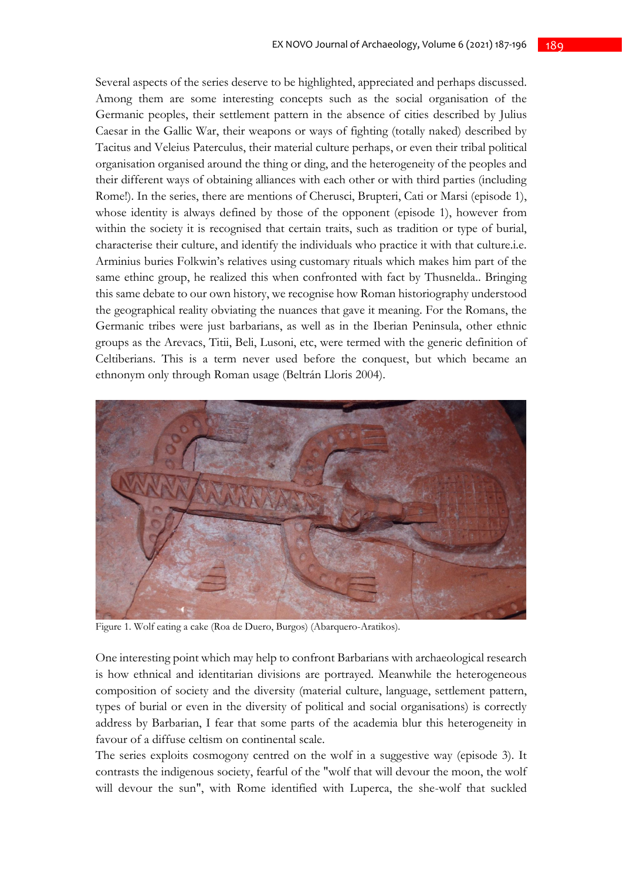Several aspects of the series deserve to be highlighted, appreciated and perhaps discussed. Among them are some interesting concepts such as the social organisation of the Germanic peoples, their settlement pattern in the absence of cities described by Julius Caesar in the Gallic War, their weapons or ways of fighting (totally naked) described by Tacitus and Veleius Paterculus, their material culture perhaps, or even their tribal political organisation organised around the thing or ding, and the heterogeneity of the peoples and their different ways of obtaining alliances with each other or with third parties (including Rome!). In the series, there are mentions of Cherusci, Brupteri, Cati or Marsi (episode 1), whose identity is always defined by those of the opponent (episode 1), however from within the society it is recognised that certain traits, such as tradition or type of burial, characterise their culture, and identify the individuals who practice it with that culture.i.e. Arminius buries Folkwin's relatives using customary rituals which makes him part of the same ethinc group, he realized this when confronted with fact by Thusnelda.. Bringing this same debate to our own history, we recognise how Roman historiography understood the geographical reality obviating the nuances that gave it meaning. For the Romans, the Germanic tribes were just barbarians, as well as in the Iberian Peninsula, other ethnic groups as the Arevacs, Titii, Beli, Lusoni, etc, were termed with the generic definition of Celtiberians. This is a term never used before the conquest, but which became an ethnonym only through Roman usage (Beltrán Lloris 2004).



Figure 1. Wolf eating a cake (Roa de Duero, Burgos) (Abarquero-Aratikos).

One interesting point which may help to confront Barbarians with archaeological research is how ethnical and identitarian divisions are portrayed. Meanwhile the heterogeneous composition of society and the diversity (material culture, language, settlement pattern, types of burial or even in the diversity of political and social organisations) is correctly address by Barbarian, I fear that some parts of the academia blur this heterogeneity in favour of a diffuse celtism on continental scale.

The series exploits cosmogony centred on the wolf in a suggestive way (episode 3). It contrasts the indigenous society, fearful of the "wolf that will devour the moon, the wolf will devour the sun", with Rome identified with Luperca, the she-wolf that suckled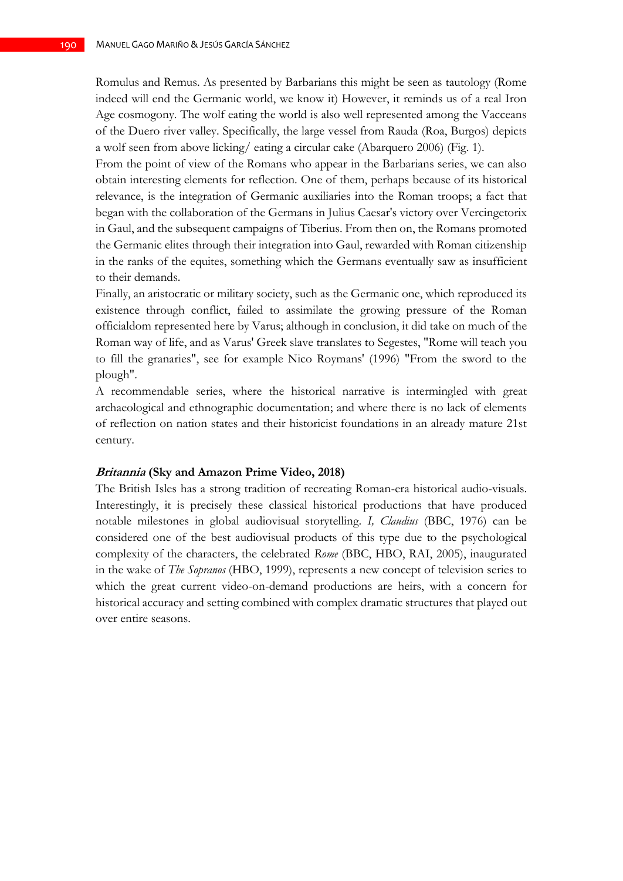Romulus and Remus. As presented by Barbarians this might be seen as tautology (Rome indeed will end the Germanic world, we know it) However, it reminds us of a real Iron Age cosmogony. The wolf eating the world is also well represented among the Vacceans of the Duero river valley. Specifically, the large vessel from Rauda (Roa, Burgos) depicts a wolf seen from above licking/ eating a circular cake (Abarquero 2006) (Fig. 1).

From the point of view of the Romans who appear in the Barbarians series, we can also obtain interesting elements for reflection. One of them, perhaps because of its historical relevance, is the integration of Germanic auxiliaries into the Roman troops; a fact that began with the collaboration of the Germans in Julius Caesar's victory over Vercingetorix in Gaul, and the subsequent campaigns of Tiberius. From then on, the Romans promoted the Germanic elites through their integration into Gaul, rewarded with Roman citizenship in the ranks of the equites, something which the Germans eventually saw as insufficient to their demands.

Finally, an aristocratic or military society, such as the Germanic one, which reproduced its existence through conflict, failed to assimilate the growing pressure of the Roman officialdom represented here by Varus; although in conclusion, it did take on much of the Roman way of life, and as Varus' Greek slave translates to Segestes, "Rome will teach you to fill the granaries", see for example Nico Roymans' (1996) "From the sword to the plough".

A recommendable series, where the historical narrative is intermingled with great archaeological and ethnographic documentation; and where there is no lack of elements of reflection on nation states and their historicist foundations in an already mature 21st century.

## **Britannia (Sky and Amazon Prime Video, 2018)**

The British Isles has a strong tradition of recreating Roman-era historical audio-visuals. Interestingly, it is precisely these classical historical productions that have produced notable milestones in global audiovisual storytelling. *I, Claudius* (BBC, 1976) can be considered one of the best audiovisual products of this type due to the psychological complexity of the characters, the celebrated *Rome* (BBC, HBO, RAI, 2005), inaugurated in the wake of *The Sopranos* (HBO, 1999), represents a new concept of television series to which the great current video-on-demand productions are heirs, with a concern for historical accuracy and setting combined with complex dramatic structures that played out over entire seasons.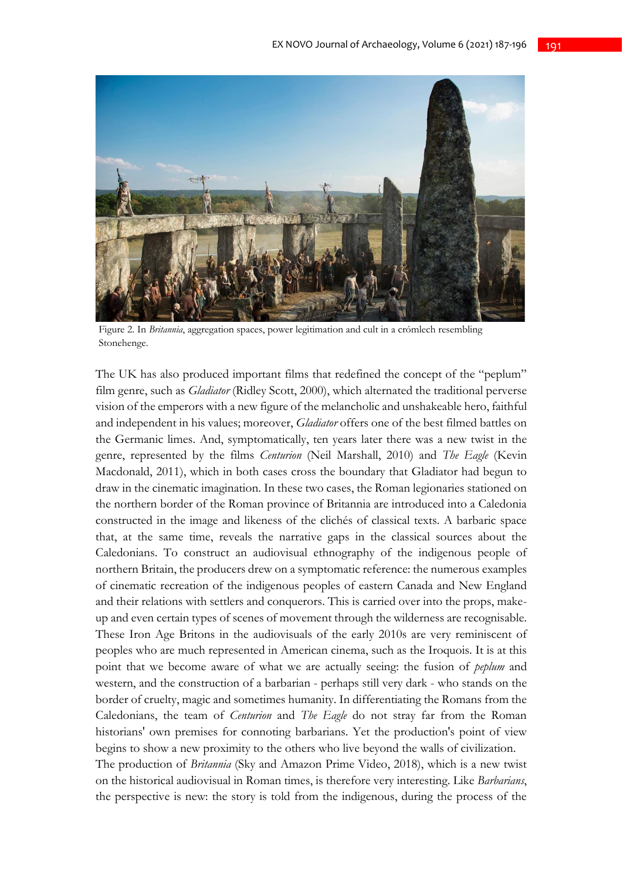

Figure 2. In *Britannia*, aggregation spaces, power legitimation and cult in a crómlech resembling Stonehenge.

The UK has also produced important films that redefined the concept of the "peplum" film genre, such as *Gladiator* (Ridley Scott, 2000), which alternated the traditional perverse vision of the emperors with a new figure of the melancholic and unshakeable hero, faithful and independent in his values; moreover, *Gladiator* offers one of the best filmed battles on the Germanic limes. And, symptomatically, ten years later there was a new twist in the genre, represented by the films *Centurion* (Neil Marshall, 2010) and *The Eagle* (Kevin Macdonald, 2011), which in both cases cross the boundary that Gladiator had begun to draw in the cinematic imagination. In these two cases, the Roman legionaries stationed on the northern border of the Roman province of Britannia are introduced into a Caledonia constructed in the image and likeness of the clichés of classical texts. A barbaric space that, at the same time, reveals the narrative gaps in the classical sources about the Caledonians. To construct an audiovisual ethnography of the indigenous people of northern Britain, the producers drew on a symptomatic reference: the numerous examples of cinematic recreation of the indigenous peoples of eastern Canada and New England and their relations with settlers and conquerors. This is carried over into the props, makeup and even certain types of scenes of movement through the wilderness are recognisable. These Iron Age Britons in the audiovisuals of the early 2010s are very reminiscent of peoples who are much represented in American cinema, such as the Iroquois. It is at this point that we become aware of what we are actually seeing: the fusion of *peplum* and western, and the construction of a barbarian - perhaps still very dark - who stands on the border of cruelty, magic and sometimes humanity. In differentiating the Romans from the Caledonians, the team of *Centurion* and *The Eagle* do not stray far from the Roman historians' own premises for connoting barbarians. Yet the production's point of view begins to show a new proximity to the others who live beyond the walls of civilization. The production of *Britannia* (Sky and Amazon Prime Video, 2018), which is a new twist on the historical audiovisual in Roman times, is therefore very interesting. Like *Barbarians*, the perspective is new: the story is told from the indigenous, during the process of the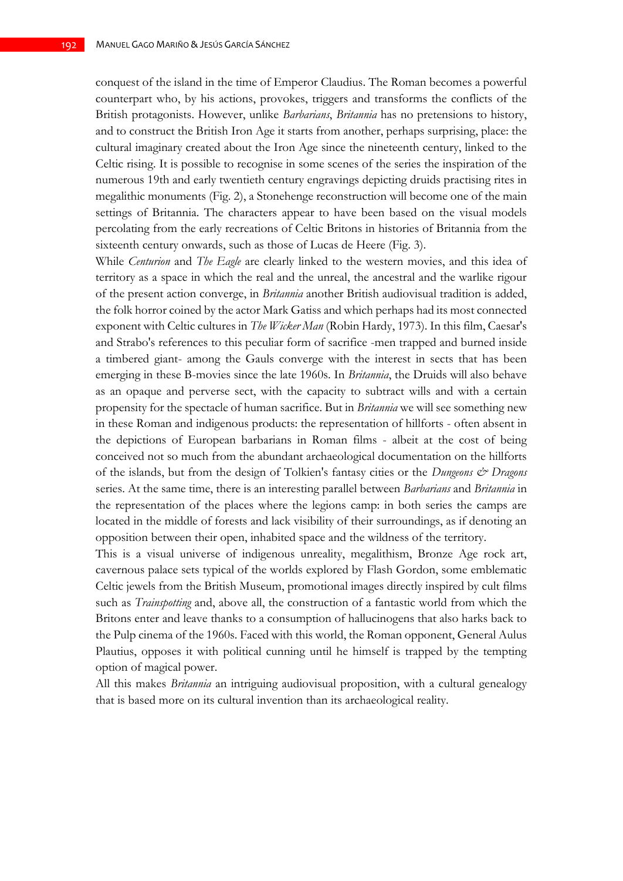conquest of the island in the time of Emperor Claudius. The Roman becomes a powerful counterpart who, by his actions, provokes, triggers and transforms the conflicts of the British protagonists. However, unlike *Barbarians*, *Britannia* has no pretensions to history, and to construct the British Iron Age it starts from another, perhaps surprising, place: the cultural imaginary created about the Iron Age since the nineteenth century, linked to the Celtic rising. It is possible to recognise in some scenes of the series the inspiration of the numerous 19th and early twentieth century engravings depicting druids practising rites in megalithic monuments (Fig. 2), a Stonehenge reconstruction will become one of the main settings of Britannia. The characters appear to have been based on the visual models percolating from the early recreations of Celtic Britons in histories of Britannia from the sixteenth century onwards, such as those of Lucas de Heere (Fig. 3).

While *Centurion* and *The Eagle* are clearly linked to the western movies, and this idea of territory as a space in which the real and the unreal, the ancestral and the warlike rigour of the present action converge, in *Britannia* another British audiovisual tradition is added, the folk horror coined by the actor Mark Gatiss and which perhaps had its most connected exponent with Celtic cultures in *The Wicker Man* (Robin Hardy, 1973). In this film, Caesar's and Strabo's references to this peculiar form of sacrifice -men trapped and burned inside a timbered giant- among the Gauls converge with the interest in sects that has been emerging in these B-movies since the late 1960s. In *Britannia*, the Druids will also behave as an opaque and perverse sect, with the capacity to subtract wills and with a certain propensity for the spectacle of human sacrifice. But in *Britannia* we will see something new in these Roman and indigenous products: the representation of hillforts - often absent in the depictions of European barbarians in Roman films - albeit at the cost of being conceived not so much from the abundant archaeological documentation on the hillforts of the islands, but from the design of Tolkien's fantasy cities or the *Dungeons & Dragons* series. At the same time, there is an interesting parallel between *Barbarians* and *Britannia* in the representation of the places where the legions camp: in both series the camps are located in the middle of forests and lack visibility of their surroundings, as if denoting an opposition between their open, inhabited space and the wildness of the territory.

This is a visual universe of indigenous unreality, megalithism, Bronze Age rock art, cavernous palace sets typical of the worlds explored by Flash Gordon, some emblematic Celtic jewels from the British Museum, promotional images directly inspired by cult films such as *Trainspotting* and, above all, the construction of a fantastic world from which the Britons enter and leave thanks to a consumption of hallucinogens that also harks back to the Pulp cinema of the 1960s. Faced with this world, the Roman opponent, General Aulus Plautius, opposes it with political cunning until he himself is trapped by the tempting option of magical power.

All this makes *Britannia* an intriguing audiovisual proposition, with a cultural genealogy that is based more on its cultural invention than its archaeological reality.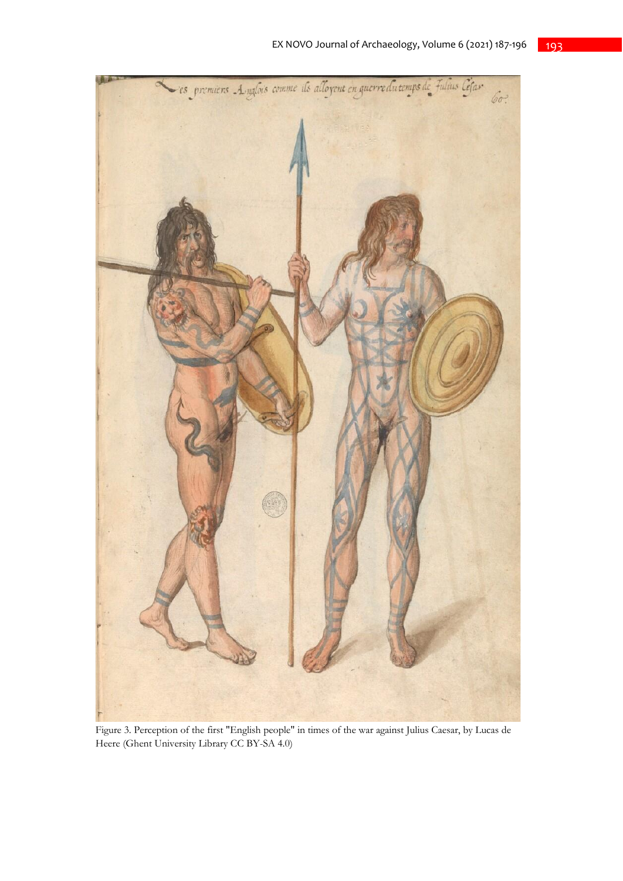

Figure 3. Perception of the first "English people" in times of the war against Julius Caesar, by Lucas de Heere (Ghent University Library CC BY-SA 4.0)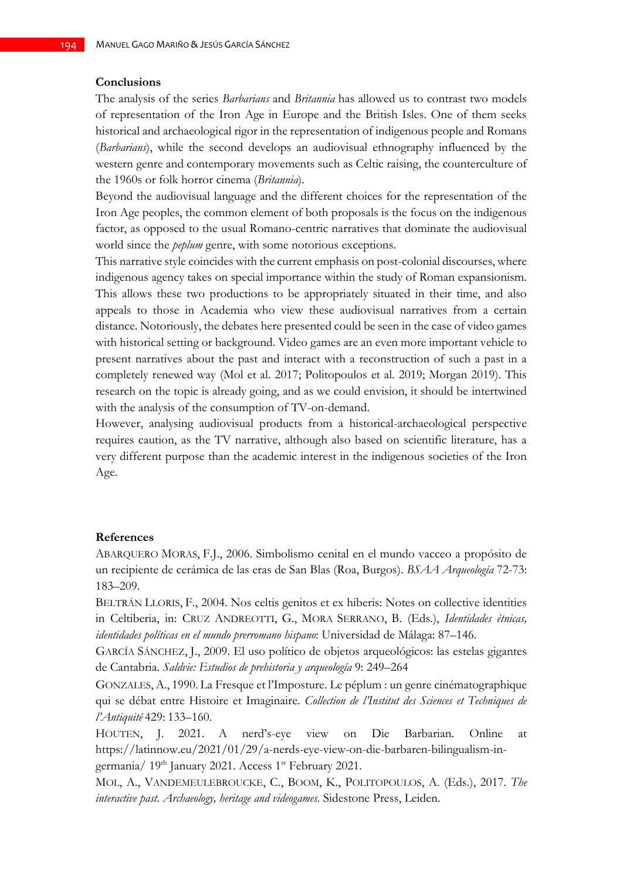#### **Conclusions**

The analysis of the series *Barbarians* and *Britannia* has allowed us to contrast two models of representation of the Iron Age in Europe and the British Isles. One of them seeks historical and archaeological rigor in the representation of indigenous people and Romans (*Barbarians*), while the second develops an audiovisual ethnography influenced by the western genre and contemporary movements such as Celtic raising, the counterculture of the 1960s or folk horror cinema (*Britannia*).

Beyond the audiovisual language and the different choices for the representation of the Iron Age peoples, the common element of both proposals is the focus on the indigenous factor, as opposed to the usual Romano-centric narratives that dominate the audiovisual world since the *peplum* genre, with some notorious exceptions.

This narrative style coincides with the current emphasis on post-colonial discourses, where indigenous agency takes on special importance within the study of Roman expansionism. This allows these two productions to be appropriately situated in their time, and also appeals to those in Academia who view these audiovisual narratives from a certain distance. Notoriously, the debates here presented could be seen in the case of video games with historical setting or background. Video games are an even more important vehicle to present narratives about the past and interact with a reconstruction of such a past in a completely renewed way (Mol et al. 2017; Politopoulos et al. 2019; Morgan 2019). This research on the topic is already going, and as we could envision, it should be intertwined with the analysis of the consumption of TV-on-demand.

However, analysing audiovisual products from a historical-archaeological perspective requires caution, as the TV narrative, although also based on scientific literature, has a very different purpose than the academic interest in the indigenous societies of the Iron Age.

#### **References**

ABARQUERO MORAS, F.J., 2006. Simbolismo cenital en el mundo vacceo a propósito de un recipiente de cerámica de las eras de San Blas (Roa, Burgos). *BSAA Arqueología* 72-73: 183–209.

BELTRÁN LLORIS, F., 2004. Nos celtis genitos et ex hiberis: Notes on collective identities in Celtiberia, in: CRUZ ANDREOTTI, G., MORA SERRANO, B. (Eds.), *Identidades étnicas, identidades políticas en el mundo prerromano hispano*: Universidad de Málaga: 87–146.

GARCÍA SÁNCHEZ, J., 2009. El uso político de objetos arqueológicos: las estelas gigantes de Cantabria. *Saldvie: Estudios de prehistoria y arqueología* 9: 249–264

GONZALES, A., 1990. La Fresque et l'Imposture. Le péplum : un genre cinématographique qui se débat entre Histoire et Imaginaire. *Collection de l'Institut des Sciences et Techniques de l'Antiquité* 429: 133–160.

HOUTEN, J. 2021. A nerd's-eye view on Die Barbarian. Online at https://latinnow.eu/2021/01/29/a-nerds-eye-view-on-die-barbaren-bilingualism-ingermania/ 19<sup>th</sup> January 2021. Access 1<sup>st</sup> February 2021.

MOL, A., VANDEMEULEBROUCKE, C., BOOM, K., POLITOPOULOS, A. (Eds.), 2017. *The interactive past. Archaeology, heritage and videogames*. Sidestone Press, Leiden.